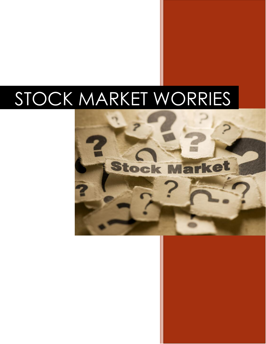# STOCK MARKET WORRIES

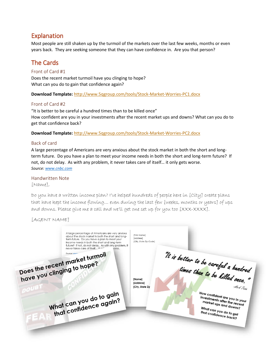## Explanation

Most people are still shaken up by the turmoil of the markets over the last few weeks, months or even years back. They are seeking someone that they can have confidence in. Are you that person?

## The Cards

#### Front of Card #1

Does the recent market turmoil have you clinging to hope? What can you do to gain that confidence again?

**Download Template:** <http://www.5qgroup.com/tools/Stock-Market-Worries-PC1.docx>

#### Front of Card #2

"It is better to be careful a hundred times than to be killed once" How confident are you in your investments after the recent market ups and downs? What can you do to get that confidence back?

**Download Template:** <http://www.5qgroup.com/tools/Stock-Market-Worries-PC2.docx>

#### Back of card

A large percentage of Americans are very anxious about the stock market in both the short and longterm future. Do you have a plan to meet your income needs in both the short and long-term future? If not, do not delay. As with any problem, it never takes care of itself… it only gets worse. *Source: [www.cnbc.com](http://www.cnbc.com/)*

#### Handwritten Note

#### [Name],

Do you have a written income plan? I've helped hundreds of people here in [City] create plans that have kept the income flowing… even during the last few [weeks, months or years] of ups and downs. Please give me a call and we'll get one set up for you too [XXX-XXXX].

[AGENT NAME]